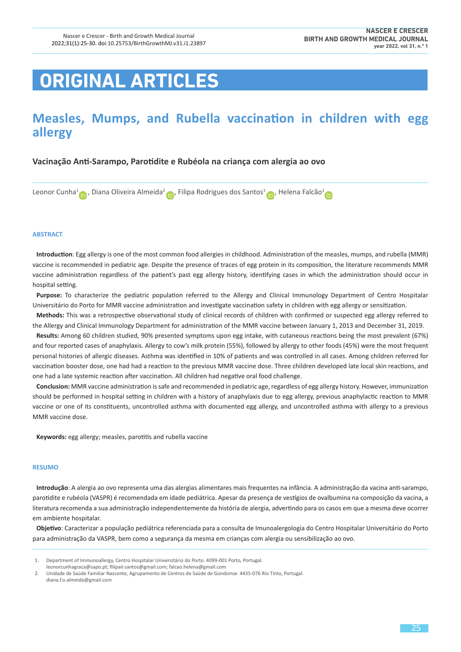# **ORIGINAL ARTICLES**

# **Measles, Mumps, and Rubella vaccination in children with egg allergy**

# **Vacinação Anti-Sarampo, Parotidite e Rubéola na criança com alergia ao ovo**

Leonor Cunha<sup>1</sup> [,](https://orcid.org/0000-0002-3508-3630) Diana Oliveira Almeida<sup>2</sup> , Filipa Rodrigues dos Santos<sup>[1](https://orcid.org/0000-0002-4503-4138)</sup> , Helena Falcão<sup>1</sup>

#### **ABSTRACT**

**Introduction**: Egg allergy is one of the most common food allergies in childhood. Administration of the measles, mumps, and rubella (MMR) vaccine is recommended in pediatric age. Despite the presence of traces of egg protein in its composition, the literature recommends MMR vaccine administration regardless of the patient's past egg allergy history, identifying cases in which the administration should occur in hospital setting.

**Purpose:** To characterize the pediatric population referred to the Allergy and Clinical Immunology Department of Centro Hospitalar Universitário do Porto for MMR vaccine administration and investigate vaccination safety in children with egg allergy or sensitization.

**Methods:** This was a retrospective observational study of clinical records of children with confirmed or suspected egg allergy referred to the Allergy and Clinical Immunology Department for administration of the MMR vaccine between January 1, 2013 and December 31, 2019.

**Results:** Among 60 children studied, 90% presented symptoms upon egg intake, with cutaneous reactions being the most prevalent (67%) and four reported cases of anaphylaxis. Allergy to cow's milk protein (55%), followed by allergy to other foods (45%) were the most frequent personal histories of allergic diseases. Asthma was identified in 10% of patients and was controlled in all cases. Among children referred for vaccination booster dose, one had had a reaction to the previous MMR vaccine dose. Three children developed late local skin reactions, and one had a late systemic reaction after vaccination. All children had negative oral food challenge.

**Conclusion:** MMR vaccine administration is safe and recommended in pediatric age, regardless of egg allergy history. However, immunization should be performed in hospital setting in children with a history of anaphylaxis due to egg allergy, previous anaphylactic reaction to MMR vaccine or one of its constituents, uncontrolled asthma with documented egg allergy, and uncontrolled asthma with allergy to a previous MMR vaccine dose.

**Keywords:** egg allergy; measles, parotitis and rubella vaccine

#### **RESUMO**

**Introdução**: A alergia ao ovo representa uma das alergias alimentares mais frequentes na infância. A administração da vacina anti-sarampo, parotidite e rubéola (VASPR) é recomendada em idade pediátrica. Apesar da presença de vestígios de ovalbumina na composição da vacina, a literatura recomenda a sua administração independentemente da história de alergia, advertindo para os casos em que a mesma deve ocorrer em ambiente hospitalar.

**Objetivo**: Caracterizar a população pediátrica referenciada para a consulta de Imunoalergologia do Centro Hospitalar Universitário do Porto para administração da VASPR, bem como a segurança da mesma em crianças com alergia ou sensibilização ao ovo.

[leonorcunhagraca@sapo.pt](mailto:leonorcunhagraca@sapo.pt); [filipair.santos@gmail.com](mailto:filipair.santos@gmail.com); [falcao.helena@gmail.com](mailto:falcao.helena@gmail.com)

 <sup>1.</sup> Department of Immunoallergy, Centro Hospitalar Universitário do Porto. 4099-001 Porto, Portugal.

 <sup>2.</sup> Unidade de Saúde Familiar Nascente, Agrupamento de Centros de Saúde de Gondomar. 4435-076 Rio Tinto, Portugal. [diana.f.o.almeida@gmail.com](mailto:diana.f.o.almeida@gmail.com)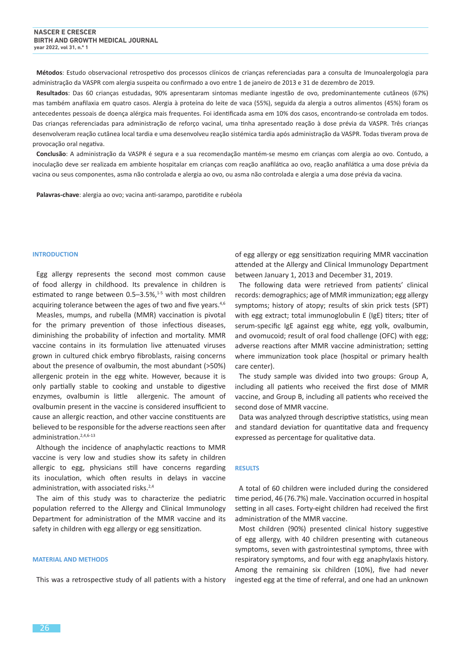**Métodos**: Estudo observacional retrospetivo dos processos clínicos de crianças referenciadas para a consulta de Imunoalergologia para administração da VASPR com alergia suspeita ou confirmado a ovo entre 1 de janeiro de 2013 e 31 de dezembro de 2019.

**Resultados**: Das 60 crianças estudadas, 90% apresentaram sintomas mediante ingestão de ovo, predominantemente cutâneos (67%) mas também anafilaxia em quatro casos. Alergia à proteína do leite de vaca (55%), seguida da alergia a outros alimentos (45%) foram os antecedentes pessoais de doença alérgica mais frequentes. Foi identificada asma em 10% dos casos, encontrando-se controlada em todos. Das crianças referenciadas para administração de reforço vacinal, uma tinha apresentado reação à dose prévia da VASPR. Três crianças desenvolveram reação cutânea local tardia e uma desenvolveu reação sistémica tardia após administração da VASPR. Todas tiveram prova de provocação oral negativa.

**Conclusão**: A administração da VASPR é segura e a sua recomendação mantém-se mesmo em crianças com alergia ao ovo. Contudo, a inoculação deve ser realizada em ambiente hospitalar em crianças com reação anafilática ao ovo, reação anafilática a uma dose prévia da vacina ou seus componentes, asma não controlada e alergia ao ovo, ou asma não controlada e alergia a uma dose prévia da vacina.

**Palavras-chave**: alergia ao ovo; vacina anti-sarampo, parotidite e rubéola

#### **INTRODUCTION**

Egg allergy represents the second most common cause of food allergy in childhood. Its prevalence in children is estimated to range between  $0.5-3.5\%$ ,<sup>1-5</sup> with most children acquiring tolerance between the ages of two and five years.<sup>4,6</sup>

Measles, mumps, and rubella (MMR) vaccination is pivotal for the primary prevention of those infectious diseases, diminishing the probability of infection and mortality. MMR vaccine contains in its formulation live attenuated viruses grown in cultured chick embryo fibroblasts, raising concerns about the presence of ovalbumin, the most abundant (>50%) allergenic protein in the egg white. However, because it is only partially stable to cooking and unstable to digestive enzymes, ovalbumin is little allergenic. The amount of ovalbumin present in the vaccine is considered insufficient to cause an allergic reaction, and other vaccine constituents are believed to be responsible for the adverse reactions seen after administration.<sup>2,4,6-13</sup>

Although the incidence of anaphylactic reactions to MMR vaccine is very low and studies show its safety in children allergic to egg, physicians still have concerns regarding its inoculation, which often results in delays in vaccine administration, with associated risks.<sup>2,4</sup>

The aim of this study was to characterize the pediatric population referred to the Allergy and Clinical Immunology Department for administration of the MMR vaccine and its safety in children with egg allergy or egg sensitization.

#### **MATERIAL AND METHODS**

This was a retrospective study of all patients with a history

of egg allergy or egg sensitization requiring MMR vaccination attended at the Allergy and Clinical Immunology Department between January 1, 2013 and December 31, 2019.

The following data were retrieved from patients' clinical records: demographics; age of MMR immunization; egg allergy symptoms; history of atopy; results of skin prick tests (SPT) with egg extract; total immunoglobulin E (IgE) titers; titer of serum-specific IgE against egg white, egg yolk, ovalbumin, and ovomucoid; result of oral food challenge (OFC) with egg; adverse reactions after MMR vaccine administration; setting where immunization took place (hospital or primary health care center).

The study sample was divided into two groups: Group A, including all patients who received the first dose of MMR vaccine, and Group B, including all patients who received the second dose of MMR vaccine.

Data was analyzed through descriptive statistics, using mean and standard deviation for quantitative data and frequency expressed as percentage for qualitative data.

#### **RESULTS**

A total of 60 children were included during the considered time period, 46 (76.7%) male. Vaccination occurred in hospital setting in all cases. Forty-eight children had received the first administration of the MMR vaccine.

Most children (90%) presented clinical history suggestive of egg allergy, with 40 children presenting with cutaneous symptoms, seven with gastrointestinal symptoms, three with respiratory symptoms, and four with egg anaphylaxis history. Among the remaining six children (10%), five had never ingested egg at the time of referral, and one had an unknown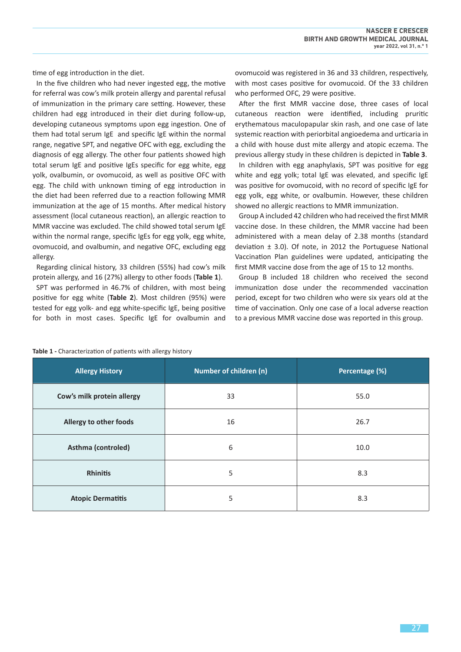time of egg introduction in the diet.

In the five children who had never ingested egg, the motive for referral was cow's milk protein allergy and parental refusal of immunization in the primary care setting. However, these children had egg introduced in their diet during follow-up, developing cutaneous symptoms upon egg ingestion. One of them had total serum IgE and specific IgE within the normal range, negative SPT, and negative OFC with egg, excluding the diagnosis of egg allergy. The other four patients showed high total serum IgE and positive IgEs specific for egg white, egg yolk, ovalbumin, or ovomucoid, as well as positive OFC with egg. The child with unknown timing of egg introduction in the diet had been referred due to a reaction following MMR immunization at the age of 15 months. After medical history assessment (local cutaneous reaction), an allergic reaction to MMR vaccine was excluded. The child showed total serum IgE within the normal range, specific IgEs for egg yolk, egg white, ovomucoid, and ovalbumin, and negative OFC, excluding egg allergy.

Regarding clinical history, 33 children (55%) had cow's milk protein allergy, and 16 (27%) allergy to other foods (**Table 1**).

SPT was performed in 46.7% of children, with most being positive for egg white (**Table 2**). Most children (95%) were tested for egg yolk- and egg white-specific IgE, being positive for both in most cases. Specific IgE for ovalbumin and ovomucoid was registered in 36 and 33 children, respectively, with most cases positive for ovomucoid. Of the 33 children who performed OFC, 29 were positive.

After the first MMR vaccine dose, three cases of local cutaneous reaction were identified, including pruritic erythematous maculopapular skin rash, and one case of late systemic reaction with periorbital angioedema and urticaria in a child with house dust mite allergy and atopic eczema. The previous allergy study in these children is depicted in **Table 3**.

In children with egg anaphylaxis, SPT was positive for egg white and egg yolk; total IgE was elevated, and specific IgE was positive for ovomucoid, with no record of specific IgE for egg yolk, egg white, or ovalbumin. However, these children showed no allergic reactions to MMR immunization.

Group A included 42 children who had received the first MMR vaccine dose. In these children, the MMR vaccine had been administered with a mean delay of 2.38 months (standard deviation  $\pm$  3.0). Of note, in 2012 the Portuguese National Vaccination Plan guidelines were updated, anticipating the first MMR vaccine dose from the age of 15 to 12 months.

Group B included 18 children who received the second immunization dose under the recommended vaccination period, except for two children who were six years old at the time of vaccination. Only one case of a local adverse reaction to a previous MMR vaccine dose was reported in this group.

| <b>Allergy History</b>     | Number of children (n) | Percentage (%) |  |
|----------------------------|------------------------|----------------|--|
| Cow's milk protein allergy | 33                     | 55.0           |  |
| Allergy to other foods     | 16                     | 26.7           |  |
| Asthma (controled)         | 6                      | 10.0           |  |
| <b>Rhinitis</b>            | 5                      | 8.3            |  |
| <b>Atopic Dermatitis</b>   | 5                      | 8.3            |  |

**Table 1 -** Characterization of patients with allergy history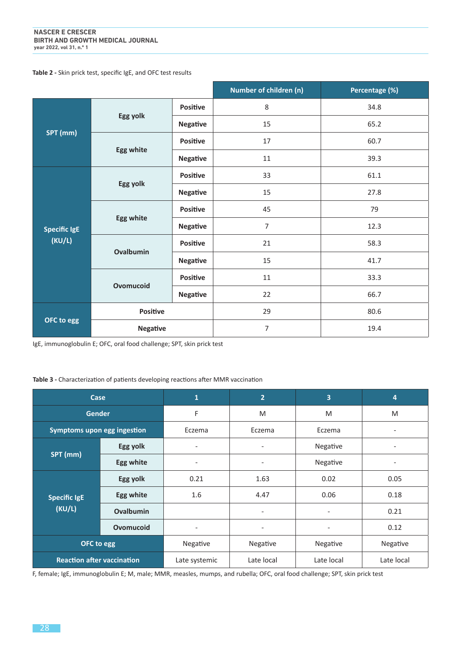# **Table 2 -** Skin prick test, specific IgE, and OFC test results

|                               |                 |                 | Number of children (n) | Percentage (%) |
|-------------------------------|-----------------|-----------------|------------------------|----------------|
| SPT (mm)                      | Egg yolk        | <b>Positive</b> | 8                      | 34.8           |
|                               |                 | <b>Negative</b> | 15                     | 65.2           |
|                               | Egg white       | <b>Positive</b> | 17                     | 60.7           |
|                               |                 | <b>Negative</b> | 11                     | 39.3           |
| <b>Specific IgE</b><br>(KU/L) | Egg yolk        | <b>Positive</b> | 33                     | 61.1           |
|                               |                 | <b>Negative</b> | 15                     | 27.8           |
|                               | Egg white       | <b>Positive</b> | 45                     | 79             |
|                               |                 | <b>Negative</b> | 7                      | 12.3           |
|                               | Ovalbumin       | <b>Positive</b> | 21                     | 58.3           |
|                               |                 | <b>Negative</b> | 15                     | 41.7           |
|                               | Ovomucoid       | <b>Positive</b> | 11                     | 33.3           |
|                               |                 | <b>Negative</b> | 22                     | 66.7           |
| OFC to egg                    | Positive        |                 | 29                     | 80.6           |
|                               | <b>Negative</b> |                 | 7                      | 19.4           |

IgE, immunoglobulin E; OFC, oral food challenge; SPT, skin prick test

## **Table 3 -** Characterization of patients developing reactions after MMR vaccination

| Case                              |           | $\mathbf{1}$             | $\overline{2}$           | 3                        | 4          |
|-----------------------------------|-----------|--------------------------|--------------------------|--------------------------|------------|
| <b>Gender</b>                     |           | F                        | M                        | M                        | M          |
| Symptoms upon egg ingestion       |           | Eczema                   | Eczema                   | Eczema                   |            |
| SPT (mm)                          | Egg yolk  | $\overline{\phantom{a}}$ | $\overline{\phantom{a}}$ | Negative                 |            |
|                                   | Egg white | $\overline{\phantom{a}}$ | $\overline{\phantom{a}}$ | Negative                 |            |
| <b>Specific IgE</b><br>(KU/L)     | Egg yolk  | 0.21                     | 1.63                     | 0.02                     | 0.05       |
|                                   | Egg white | 1.6                      | 4.47                     | 0.06                     | 0.18       |
|                                   | Ovalbumin |                          | $\overline{\phantom{a}}$ | $\overline{\phantom{a}}$ | 0.21       |
|                                   | Ovomucoid | $\overline{\phantom{a}}$ | $\overline{\phantom{a}}$ | $\overline{\phantom{a}}$ | 0.12       |
| OFC to egg                        |           | Negative                 | Negative                 | Negative                 | Negative   |
| <b>Reaction after vaccination</b> |           | Late systemic            | Late local               | Late local               | Late local |

F, female; IgE, immunoglobulin E; M, male; MMR, measles, mumps, and rubella; OFC, oral food challenge; SPT, skin prick test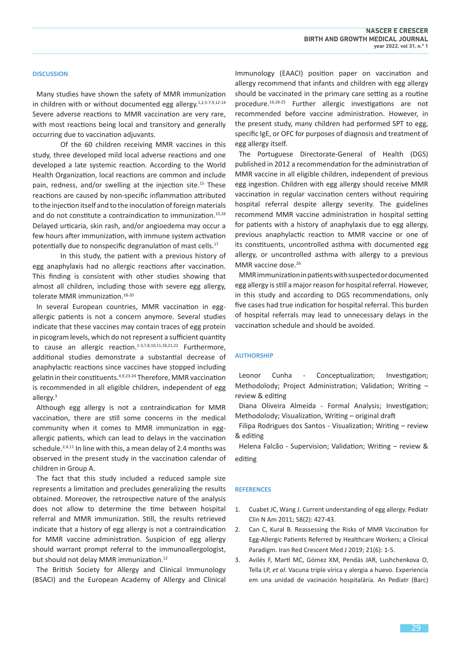### **DISCUSSION**

Many studies have shown the safety of MMR immunization in children with or without documented egg allergy.<sup>1,2,5-7,9,12-14</sup> Severe adverse reactions to MMR vaccination are very rare, with most reactions being local and transitory and generally occurring due to vaccination adjuvants.

Of the 60 children receiving MMR vaccines in this study, three developed mild local adverse reactions and one developed a late systemic reaction. According to the World Health Organization, local reactions are common and include pain, redness, and/or swelling at the injection site.<sup>15</sup> These reactions are caused by non-specific inflammation attributed to the injection itself and to the inoculation of foreign materials and do not constitute a contraindication to immunization.<sup>15,16</sup> Delayed urticaria, skin rash, and/or angioedema may occur a few hours after immunization, with immune system activation potentially due to nonspecific degranulation of mast cells.<sup>17</sup>

In this study, the patient with a previous history of egg anaphylaxis had no allergic reactions after vaccination. This finding is consistent with other studies showing that almost all children, including those with severe egg allergy, tolerate MMR immunization.<sup>18-20</sup>

In several European countries, MMR vaccination in eggallergic patients is not a concern anymore. Several studies indicate that these vaccines may contain traces of egg protein in picogram levels, which do not represent a sufficient quantity to cause an allergic reaction.<sup>1-3,7,8,10,11,18,21,22</sup> Furthermore, additional studies demonstrate a substantial decrease of anaphylactic reactions since vaccines have stopped including gelatinin their constituents.4,9,23-24 Therefore, MMR vaccination is recommended in all eligible children, independent of egg allergy.3

Although egg allergy is not a contraindication for MMR vaccination, there are still some concerns in the medical community when it comes to MMR immunization in eggallergic patients, which can lead to delays in the vaccination schedule.<sup>2,4,11</sup> In line with this, a mean delay of 2.4 months was observed in the present study in the vaccination calendar of children in Group A.

The fact that this study included a reduced sample size represents a limitation and precludes generalizing the results obtained. Moreover, the retrospective nature of the analysis does not allow to determine the time between hospital referral and MMR immunization. Still, the results retrieved indicate that a history of egg allergy is not a contraindication for MMR vaccine administration. Suspicion of egg allergy should warrant prompt referral to the immunoallergologist, but should not delay MMR immunization.<sup>12</sup>

The British Society for Allergy and Clinical Immunology (BSACI) and the European Academy of Allergy and Clinical Immunology (EAACI) position paper on vaccination and allergy recommend that infants and children with egg allergy should be vaccinated in the primary care setting as a routine procedure.16,18-25 Further allergic investigations are not recommended before vaccine administration. However, in the present study, many children had performed SPT to egg, specific IgE, or OFC for purposes of diagnosis and treatment of egg allergy itself.

The Portuguese Directorate-General of Health (DGS) published in 2012 a recommendation for the administration of MMR vaccine in all eligible children, independent of previous egg ingestion. Children with egg allergy should receive MMR vaccination in regular vaccination centers without requiring hospital referral despite allergy severity. The guidelines recommend MMR vaccine administration in hospital setting for patients with a history of anaphylaxis due to egg allergy, previous anaphylactic reaction to MMR vaccine or one of its constituents, uncontrolled asthma with documented egg allergy, or uncontrolled asthma with allergy to a previous MMR vaccine dose.<sup>26</sup>

MMR immunization in patients with suspected or documented egg allergy is still a major reason for hospital referral. However, in this study and according to DGS recommendations, only five cases had true indication for hospital referral. This burden of hospital referrals may lead to unnecessary delays in the vaccination schedule and should be avoided.

#### **AUTHORSHIP**

Leonor Cunha - Conceptualization; Investigation; Methodolody; Project Administration; Validation; Writing – review & editing

Diana Oliveira Almeida - Formal Analysis; Investigation; Methodolody; Visualization, Writing – original draft

Filipa Rodrigues dos Santos - Visualization; Writing – review & editing

Helena Falcão - Supervision; Validation; Writing – review & editing

#### **REFERENCES**

- 1. Cuabet JC, Wang J. Current understanding of egg allergy. Pediatr Clin N Am 2011; 58(2): 427-43.
- 2. Can C, Kural B. Reassessing the Risks of MMR Vaccination for Egg-Allergic Patients Referred by Healthcare Workers; a Clinical Paradigm. Iran Red Crescent Med J 2019; 21(6): 1-5.
- 3. Avilés F, Martí MC, Gómez XM, Pendás JAR, Lushchenkova O, Tella LP, *et al*. Vacuna triple vírica y alergia a huevo. Experiencia em una unidad de vacinación hospitalária. An Pediatr (Barc)